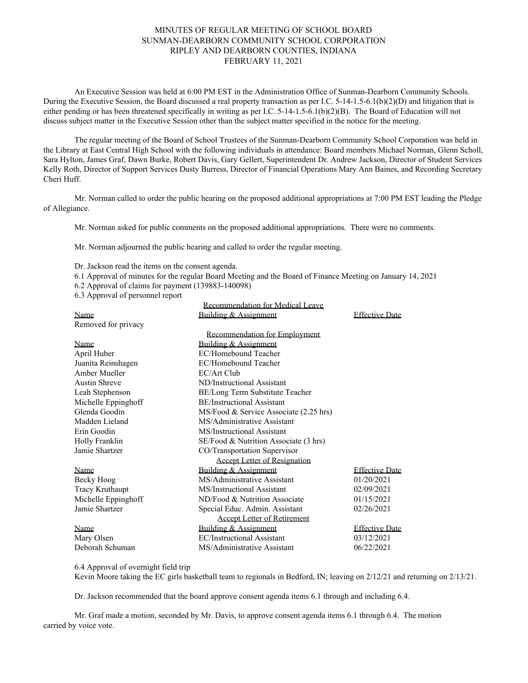## MINUTES OF REGULAR MEETING OF SCHOOL BOARD SUNMAN-DEARBORN COMMUNITY SCHOOL CORPORATION RIPLEY AND DEARBORN COUNTIES, INDIANA FEBRUARY 11, 2021

An Executive Session was held at 6:00 PM EST in the Administration Office of Sunman-Dearborn Community Schools. During the Executive Session, the Board discussed a real property transaction as per I.C. 5-14-1.5-6.1(b)(2)(D) and litigation that is either pending or has been threatened specifically in writing as per I.C. 5-14-1.5-6.1(b)(2)(B). The Board of Education will not discuss subject matter in the Executive Session other than the subject matter specified in the notice for the meeting.

The regular meeting of the Board of School Trustees of the Sunman-Dearborn Community School Corporation was held in the Library at East Central High School with the following individuals in attendance: Board members Michael Norman, Glenn Scholl, Sara Hylton, James Graf, Dawn Burke, Robert Davis, Gary Gellert, Superintendent Dr. Andrew Jackson, Director of Student Services Kelly Roth, Director of Support Services Dusty Burress, Director of Financial Operations Mary Ann Baines, and Recording Secretary Cheri Huff.

Mr. Norman called to order the public hearing on the proposed additional appropriations at 7:00 PM EST leading the Pledge of Allegiance.

Mr. Norman asked for public comments on the proposed additional appropriations. There were no comments.

Mr. Norman adjourned the public hearing and called to order the regular meeting.

Dr. Jackson read the items on the consent agenda.

6.1 Approval of minutes for the regular Board Meeting and the Board of Finance Meeting on January 14, 2021

Recommendation for Medical Leave

- 6.2 Approval of claims for payment (139883-140098)
- 6.3 Approval of personnel report

| Recommendation for Medical Leave    |                                        |                       |
|-------------------------------------|----------------------------------------|-----------------------|
| Name                                | Building & Assignment                  | <b>Effective Date</b> |
| Removed for privacy                 |                                        |                       |
|                                     | <b>Recommendation for Employment</b>   |                       |
| Name                                | Building & Assignment                  |                       |
| April Huber                         | EC/Homebound Teacher                   |                       |
| Juanita Reinshagen                  | EC/Homebound Teacher                   |                       |
| Amber Mueller                       | EC/Art Club                            |                       |
| <b>Austin Shreve</b>                | ND/Instructional Assistant             |                       |
| Leah Stephenson                     | BE/Long Term Substitute Teacher        |                       |
| Michelle Eppinghoff                 | <b>BE/Instructional Assistant</b>      |                       |
| Glenda Goodin                       | MS/Food & Service Associate (2.25 hrs) |                       |
| Madden Lieland                      | MS/Administrative Assistant            |                       |
| Erin Goodin                         | MS/Instructional Assistant             |                       |
| Holly Franklin                      | SE/Food & Nutrition Associate (3 hrs)  |                       |
| Jamie Shartzer                      | CO/Transportation Supervisor           |                       |
| <b>Accept Letter of Resignation</b> |                                        |                       |
| Name                                | Building & Assignment                  | <b>Effective Date</b> |
| Becky Hoog                          | MS/Administrative Assistant            | 01/20/2021            |
| <b>Tracy Kruthaupt</b>              | MS/Instructional Assistant             | 02/09/2021            |
| Michelle Eppinghoff                 | ND/Food & Nutrition Associate          | 01/15/2021            |
| Jamie Shartzer                      | Special Educ. Admin. Assistant         | 02/26/2021            |
| <b>Accept Letter of Retirement</b>  |                                        |                       |
| Name                                | Building & Assignment                  | <b>Effective Date</b> |
| Mary Olsen                          | <b>EC/Instructional Assistant</b>      | 03/12/2021            |
| Deborah Schuman                     | MS/Administrative Assistant            | 06/22/2021            |

6.4 Approval of overnight field trip

Kevin Moore taking the EC girls basketball team to regionals in Bedford, IN; leaving on 2/12/21 and returning on 2/13/21.

Dr. Jackson recommended that the board approve consent agenda items 6.1 through and including 6.4.

Mr. Graf made a motion, seconded by Mr. Davis, to approve consent agenda items 6.1 through 6.4. The motion carried by voice vote.